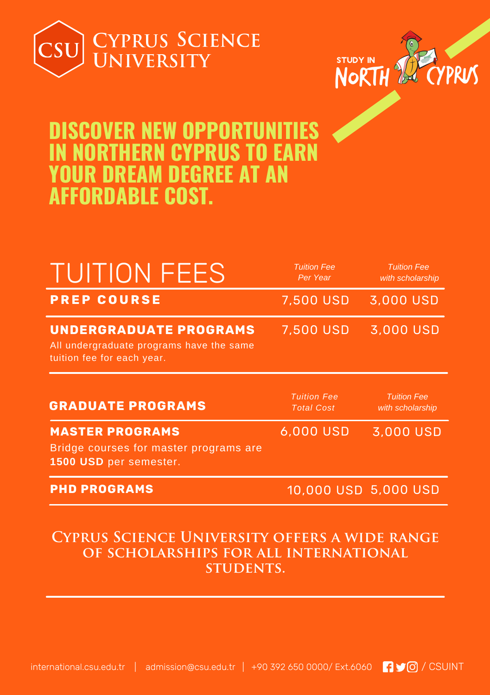



# **DISCOVER NEW OPPORTUNITIES IN NORTHERN CYPRUS TO EARN YOUR DREAM DEGREE AT AN AFFORDABLE COST.**

| <b>TUITION FEES</b>                                                                                     | <b>Tuition Fee</b><br>Per Year          | <b>Tuition Fee</b><br>with scholarship |
|---------------------------------------------------------------------------------------------------------|-----------------------------------------|----------------------------------------|
| <b>PREP COURSE</b>                                                                                      | 7,500 USD                               | 3,000 USD                              |
| <b>UNDERGRADUATE PROGRAMS</b><br>All undergraduate programs have the same<br>tuition fee for each year. | 7,500 USD                               | 3,000 USD                              |
| <b>GRADUATE PROGRAMS</b>                                                                                | <b>Tuition Fee</b><br><b>Total Cost</b> | <b>Tuition Fee</b><br>with scholarship |
| <b>MASTER PROGRAMS</b>                                                                                  | 6,000 USD                               | 3,000 USD                              |
| Bridge courses for master programs are<br>1500 USD per semester.                                        |                                         |                                        |

### **Cyprus Science University offers a wide range of scholarships for all international students.**